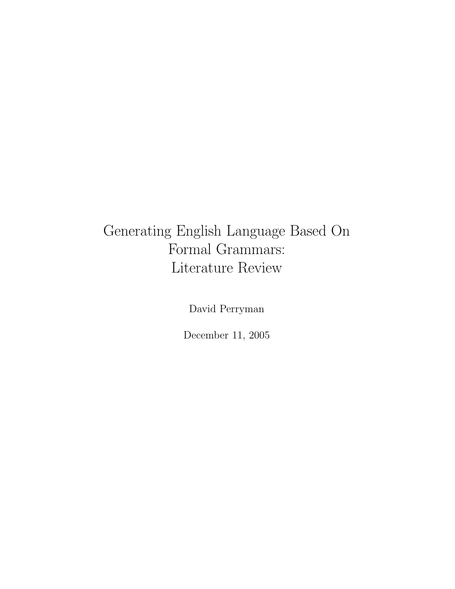## Generating English Language Based On Formal Grammars: Literature Review

David Perryman

December 11, 2005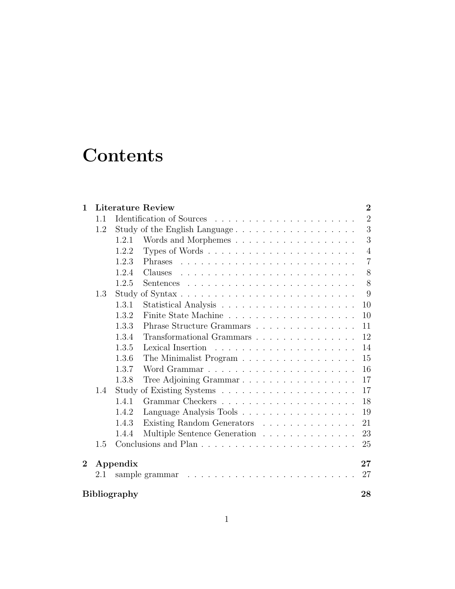# **Contents**

| $\mathbf{1}$              |          | <b>Literature Review</b><br>$\overline{2}$  |  |  |
|---------------------------|----------|---------------------------------------------|--|--|
|                           | 1.1      | $\overline{2}$                              |  |  |
|                           | 1.2      | 3<br>Study of the English Language          |  |  |
|                           |          | 3<br>1.2.1                                  |  |  |
|                           |          | $\overline{4}$<br>1.2.2                     |  |  |
|                           |          | $\overline{7}$<br>1.2.3                     |  |  |
|                           |          | 8<br>1.2.4                                  |  |  |
|                           |          | 8<br>1.2.5                                  |  |  |
|                           | 1.3      | 9                                           |  |  |
|                           |          | 10<br>1.3.1                                 |  |  |
|                           |          | 1.3.2<br>10                                 |  |  |
|                           |          | 1.3.3<br>11                                 |  |  |
|                           |          | 12<br>1.3.4<br>Transformational Grammars    |  |  |
|                           |          | 1.3.5<br>14                                 |  |  |
|                           |          | 1.3.6<br>15<br>The Minimalist Program       |  |  |
|                           |          | 1.3.7<br>16                                 |  |  |
|                           |          | Tree Adjoining Grammar<br>17<br>1.3.8       |  |  |
|                           | 1.4      | 17                                          |  |  |
|                           |          | 18<br>1.4.1                                 |  |  |
|                           |          | Language Analysis Tools<br>19<br>1.4.2      |  |  |
|                           |          | Existing Random Generators<br>1.4.3<br>21   |  |  |
|                           |          | Multiple Sentence Generation<br>23<br>1.4.4 |  |  |
|                           | 1.5      | 25                                          |  |  |
| $\overline{2}$            | Appendix |                                             |  |  |
|                           | $2.1\,$  | 27                                          |  |  |
| <b>Bibliography</b><br>28 |          |                                             |  |  |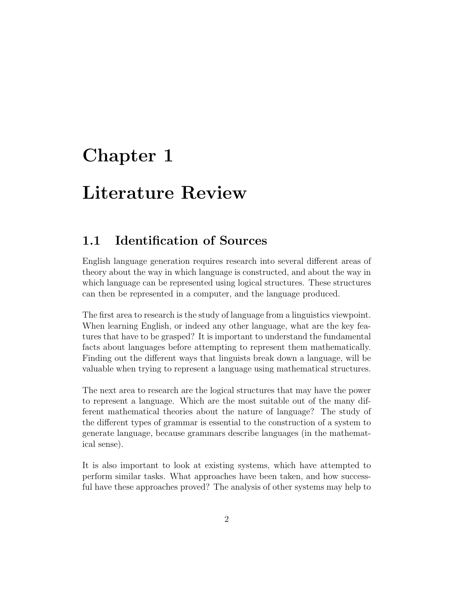# Chapter 1

# Literature Review

## 1.1 Identification of Sources

English language generation requires research into several different areas of theory about the way in which language is constructed, and about the way in which language can be represented using logical structures. These structures can then be represented in a computer, and the language produced.

The first area to research is the study of language from a linguistics viewpoint. When learning English, or indeed any other language, what are the key features that have to be grasped? It is important to understand the fundamental facts about languages before attempting to represent them mathematically. Finding out the different ways that linguists break down a language, will be valuable when trying to represent a language using mathematical structures.

The next area to research are the logical structures that may have the power to represent a language. Which are the most suitable out of the many different mathematical theories about the nature of language? The study of the different types of grammar is essential to the construction of a system to generate language, because grammars describe languages (in the mathematical sense).

It is also important to look at existing systems, which have attempted to perform similar tasks. What approaches have been taken, and how successful have these approaches proved? The analysis of other systems may help to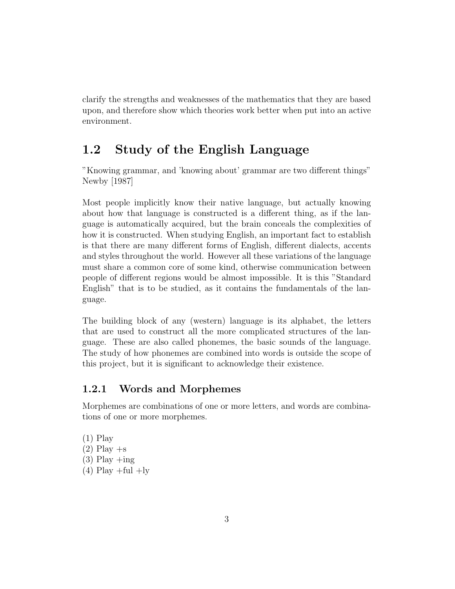clarify the strengths and weaknesses of the mathematics that they are based upon, and therefore show which theories work better when put into an active environment.

## 1.2 Study of the English Language

"Knowing grammar, and 'knowing about' grammar are two different things" Newby [1987]

Most people implicitly know their native language, but actually knowing about how that language is constructed is a different thing, as if the language is automatically acquired, but the brain conceals the complexities of how it is constructed. When studying English, an important fact to establish is that there are many different forms of English, different dialects, accents and styles throughout the world. However all these variations of the language must share a common core of some kind, otherwise communication between people of different regions would be almost impossible. It is this "Standard English" that is to be studied, as it contains the fundamentals of the language.

The building block of any (western) language is its alphabet, the letters that are used to construct all the more complicated structures of the language. These are also called phonemes, the basic sounds of the language. The study of how phonemes are combined into words is outside the scope of this project, but it is significant to acknowledge their existence.

### 1.2.1 Words and Morphemes

Morphemes are combinations of one or more letters, and words are combinations of one or more morphemes.

(1) Play  $(2)$  Play  $+$ s  $(3)$  Play  $+i$ ng  $(4)$  Play +ful +ly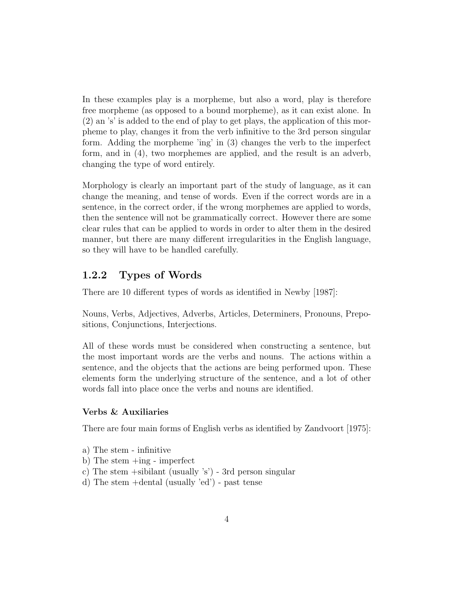In these examples play is a morpheme, but also a word, play is therefore free morpheme (as opposed to a bound morpheme), as it can exist alone. In (2) an 's' is added to the end of play to get plays, the application of this morpheme to play, changes it from the verb infinitive to the 3rd person singular form. Adding the morpheme 'ing' in (3) changes the verb to the imperfect form, and in (4), two morphemes are applied, and the result is an adverb, changing the type of word entirely.

Morphology is clearly an important part of the study of language, as it can change the meaning, and tense of words. Even if the correct words are in a sentence, in the correct order, if the wrong morphemes are applied to words, then the sentence will not be grammatically correct. However there are some clear rules that can be applied to words in order to alter them in the desired manner, but there are many different irregularities in the English language, so they will have to be handled carefully.

### 1.2.2 Types of Words

There are 10 different types of words as identified in Newby [1987]:

Nouns, Verbs, Adjectives, Adverbs, Articles, Determiners, Pronouns, Prepositions, Conjunctions, Interjections.

All of these words must be considered when constructing a sentence, but the most important words are the verbs and nouns. The actions within a sentence, and the objects that the actions are being performed upon. These elements form the underlying structure of the sentence, and a lot of other words fall into place once the verbs and nouns are identified.

#### Verbs & Auxiliaries

There are four main forms of English verbs as identified by Zandvoort [1975]:

- a) The stem infinitive
- b) The stem +ing imperfect
- c) The stem +sibilant (usually 's') 3rd person singular
- d) The stem +dental (usually 'ed') past tense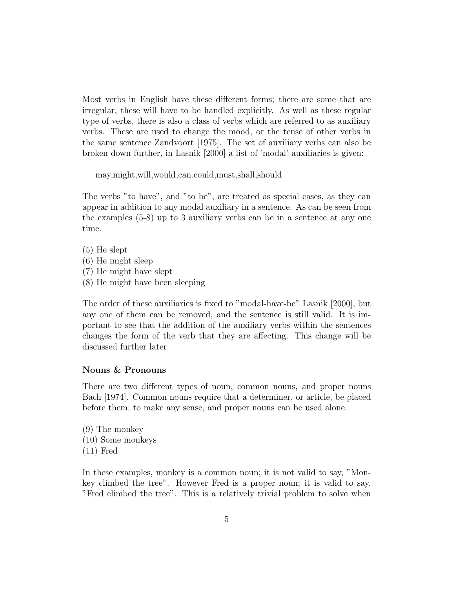Most verbs in English have these different forms; there are some that are irregular, these will have to be handled explicitly. As well as these regular type of verbs, there is also a class of verbs which are referred to as auxiliary verbs. These are used to change the mood, or the tense of other verbs in the same sentence Zandvoort [1975]. The set of auxiliary verbs can also be broken down further, in Lasnik [2000] a list of 'modal' auxiliaries is given:

may,might,will,would,can.could,must,shall,should

The verbs "to have", and "to be", are treated as special cases, as they can appear in addition to any modal auxiliary in a sentence. As can be seen from the examples (5-8) up to 3 auxiliary verbs can be in a sentence at any one time.

(5) He slept (6) He might sleep (7) He might have slept (8) He might have been sleeping

The order of these auxiliaries is fixed to "modal-have-be" Lasnik [2000], but any one of them can be removed, and the sentence is still valid. It is important to see that the addition of the auxiliary verbs within the sentences changes the form of the verb that they are affecting. This change will be discussed further later.

#### Nouns & Pronouns

There are two different types of noun, common nouns, and proper nouns Bach [1974]. Common nouns require that a determiner, or article, be placed before them; to make any sense, and proper nouns can be used alone.

(9) The monkey (10) Some monkeys (11) Fred

In these examples, monkey is a common noun; it is not valid to say, "Monkey climbed the tree". However Fred is a proper noun; it is valid to say, "Fred climbed the tree". This is a relatively trivial problem to solve when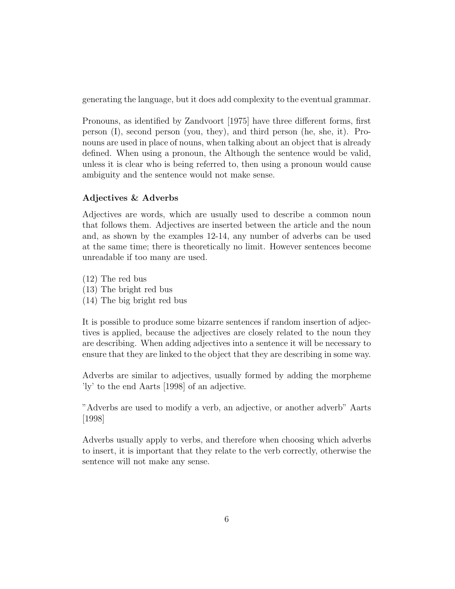generating the language, but it does add complexity to the eventual grammar.

Pronouns, as identified by Zandvoort [1975] have three different forms, first person (I), second person (you, they), and third person (he, she, it). Pronouns are used in place of nouns, when talking about an object that is already defined. When using a pronoun, the Although the sentence would be valid, unless it is clear who is being referred to, then using a pronoun would cause ambiguity and the sentence would not make sense.

#### Adjectives & Adverbs

Adjectives are words, which are usually used to describe a common noun that follows them. Adjectives are inserted between the article and the noun and, as shown by the examples 12-14, any number of adverbs can be used at the same time; there is theoretically no limit. However sentences become unreadable if too many are used.

(12) The red bus (13) The bright red bus (14) The big bright red bus

It is possible to produce some bizarre sentences if random insertion of adjectives is applied, because the adjectives are closely related to the noun they are describing. When adding adjectives into a sentence it will be necessary to ensure that they are linked to the object that they are describing in some way.

Adverbs are similar to adjectives, usually formed by adding the morpheme 'ly' to the end Aarts [1998] of an adjective.

"Adverbs are used to modify a verb, an adjective, or another adverb" Aarts [1998]

Adverbs usually apply to verbs, and therefore when choosing which adverbs to insert, it is important that they relate to the verb correctly, otherwise the sentence will not make any sense.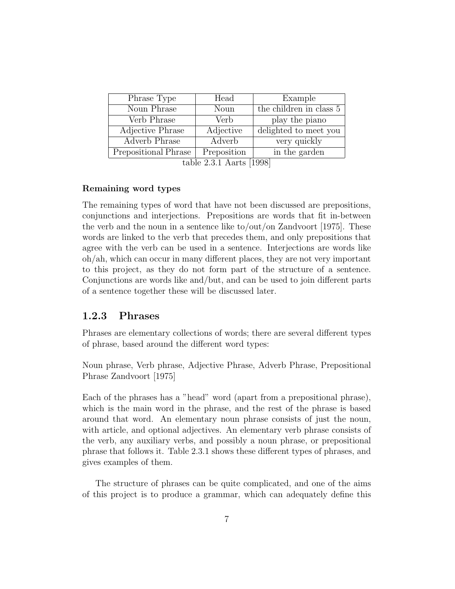| Phrase Type          | Head               | Example                 |
|----------------------|--------------------|-------------------------|
| Noun Phrase          | Noun               | the children in class 5 |
| Verb Phrase          | Verb               | play the piano          |
| Adjective Phrase     | Adjective          | delighted to meet you   |
| Adverb Phrase        | Adverb             | very quickly            |
| Prepositional Phrase | Preposition<br>221 | in the garden           |

table 2.3.1 Aarts [1998]

#### Remaining word types

The remaining types of word that have not been discussed are prepositions, conjunctions and interjections. Prepositions are words that fit in-between the verb and the noun in a sentence like to/out/on Zandvoort [1975]. These words are linked to the verb that precedes them, and only prepositions that agree with the verb can be used in a sentence. Interjections are words like oh/ah, which can occur in many different places, they are not very important to this project, as they do not form part of the structure of a sentence. Conjunctions are words like and/but, and can be used to join different parts of a sentence together these will be discussed later.

#### 1.2.3 Phrases

Phrases are elementary collections of words; there are several different types of phrase, based around the different word types:

Noun phrase, Verb phrase, Adjective Phrase, Adverb Phrase, Prepositional Phrase Zandvoort [1975]

Each of the phrases has a "head" word (apart from a prepositional phrase), which is the main word in the phrase, and the rest of the phrase is based around that word. An elementary noun phrase consists of just the noun, with article, and optional adjectives. An elementary verb phrase consists of the verb, any auxiliary verbs, and possibly a noun phrase, or prepositional phrase that follows it. Table 2.3.1 shows these different types of phrases, and gives examples of them.

The structure of phrases can be quite complicated, and one of the aims of this project is to produce a grammar, which can adequately define this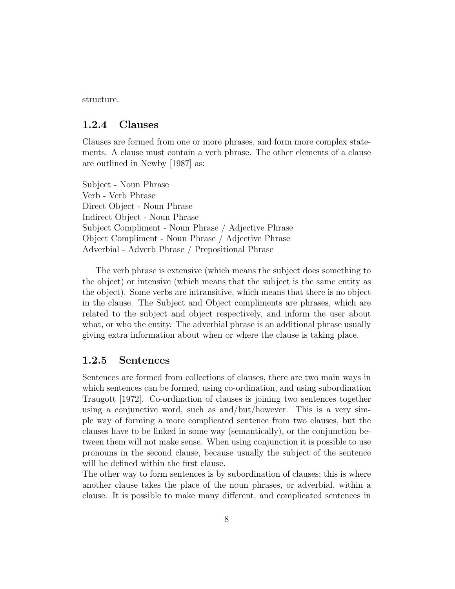structure.

#### 1.2.4 Clauses

Clauses are formed from one or more phrases, and form more complex statements. A clause must contain a verb phrase. The other elements of a clause are outlined in Newby [1987] as:

Subject - Noun Phrase Verb - Verb Phrase Direct Object - Noun Phrase Indirect Object - Noun Phrase Subject Compliment - Noun Phrase / Adjective Phrase Object Compliment - Noun Phrase / Adjective Phrase Adverbial - Adverb Phrase / Prepositional Phrase

The verb phrase is extensive (which means the subject does something to the object) or intensive (which means that the subject is the same entity as the object). Some verbs are intransitive, which means that there is no object in the clause. The Subject and Object compliments are phrases, which are related to the subject and object respectively, and inform the user about what, or who the entity. The adverbial phrase is an additional phrase usually giving extra information about when or where the clause is taking place.

#### 1.2.5 Sentences

Sentences are formed from collections of clauses, there are two main ways in which sentences can be formed, using co-ordination, and using subordination Traugott [1972]. Co-ordination of clauses is joining two sentences together using a conjunctive word, such as and/but/however. This is a very simple way of forming a more complicated sentence from two clauses, but the clauses have to be linked in some way (semantically), or the conjunction between them will not make sense. When using conjunction it is possible to use pronouns in the second clause, because usually the subject of the sentence will be defined within the first clause.

The other way to form sentences is by subordination of clauses; this is where another clause takes the place of the noun phrases, or adverbial, within a clause. It is possible to make many different, and complicated sentences in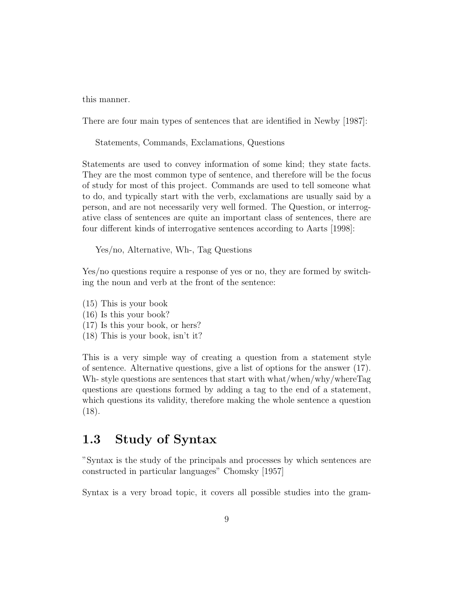this manner.

There are four main types of sentences that are identified in Newby [1987]:

Statements, Commands, Exclamations, Questions

Statements are used to convey information of some kind; they state facts. They are the most common type of sentence, and therefore will be the focus of study for most of this project. Commands are used to tell someone what to do, and typically start with the verb, exclamations are usually said by a person, and are not necessarily very well formed. The Question, or interrogative class of sentences are quite an important class of sentences, there are four different kinds of interrogative sentences according to Aarts [1998]:

Yes/no, Alternative, Wh-, Tag Questions

Yes/no questions require a response of yes or no, they are formed by switching the noun and verb at the front of the sentence:

- (15) This is your book
- (16) Is this your book?
- (17) Is this your book, or hers?
- (18) This is your book, isn't it?

This is a very simple way of creating a question from a statement style of sentence. Alternative questions, give a list of options for the answer (17). Wh- style questions are sentences that start with what/when/why/whereTag questions are questions formed by adding a tag to the end of a statement, which questions its validity, therefore making the whole sentence a question (18).

### 1.3 Study of Syntax

"Syntax is the study of the principals and processes by which sentences are constructed in particular languages" Chomsky [1957]

Syntax is a very broad topic, it covers all possible studies into the gram-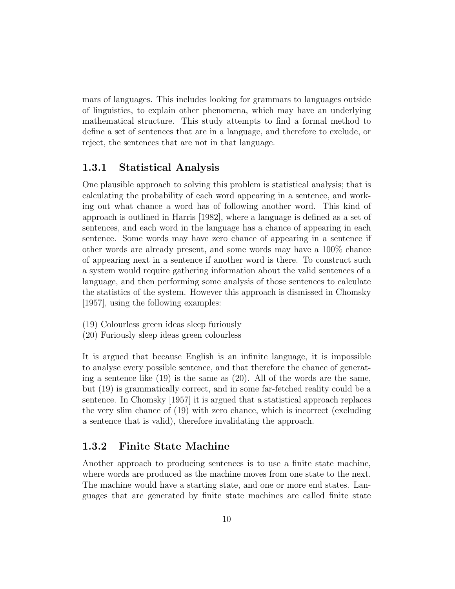mars of languages. This includes looking for grammars to languages outside of linguistics, to explain other phenomena, which may have an underlying mathematical structure. This study attempts to find a formal method to define a set of sentences that are in a language, and therefore to exclude, or reject, the sentences that are not in that language.

#### 1.3.1 Statistical Analysis

One plausible approach to solving this problem is statistical analysis; that is calculating the probability of each word appearing in a sentence, and working out what chance a word has of following another word. This kind of approach is outlined in Harris [1982], where a language is defined as a set of sentences, and each word in the language has a chance of appearing in each sentence. Some words may have zero chance of appearing in a sentence if other words are already present, and some words may have a 100% chance of appearing next in a sentence if another word is there. To construct such a system would require gathering information about the valid sentences of a language, and then performing some analysis of those sentences to calculate the statistics of the system. However this approach is dismissed in Chomsky [1957], using the following examples:

- (19) Colourless green ideas sleep furiously
- (20) Furiously sleep ideas green colourless

It is argued that because English is an infinite language, it is impossible to analyse every possible sentence, and that therefore the chance of generating a sentence like (19) is the same as (20). All of the words are the same, but (19) is grammatically correct, and in some far-fetched reality could be a sentence. In Chomsky [1957] it is argued that a statistical approach replaces the very slim chance of (19) with zero chance, which is incorrect (excluding a sentence that is valid), therefore invalidating the approach.

#### 1.3.2 Finite State Machine

Another approach to producing sentences is to use a finite state machine, where words are produced as the machine moves from one state to the next. The machine would have a starting state, and one or more end states. Languages that are generated by finite state machines are called finite state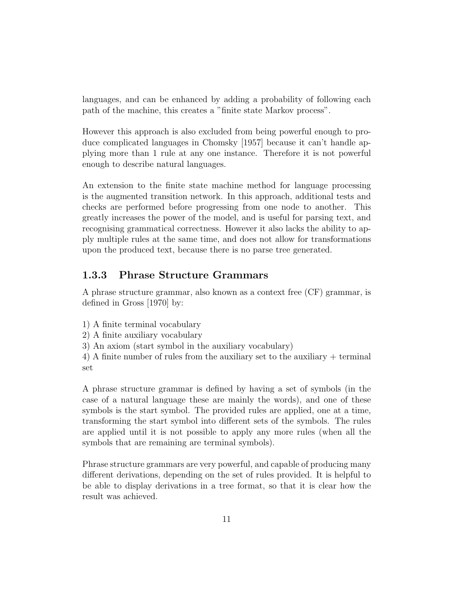languages, and can be enhanced by adding a probability of following each path of the machine, this creates a "finite state Markov process".

However this approach is also excluded from being powerful enough to produce complicated languages in Chomsky [1957] because it can't handle applying more than 1 rule at any one instance. Therefore it is not powerful enough to describe natural languages.

An extension to the finite state machine method for language processing is the augmented transition network. In this approach, additional tests and checks are performed before progressing from one node to another. This greatly increases the power of the model, and is useful for parsing text, and recognising grammatical correctness. However it also lacks the ability to apply multiple rules at the same time, and does not allow for transformations upon the produced text, because there is no parse tree generated.

#### 1.3.3 Phrase Structure Grammars

A phrase structure grammar, also known as a context free (CF) grammar, is defined in Gross [1970] by:

- 1) A finite terminal vocabulary
- 2) A finite auxiliary vocabulary
- 3) An axiom (start symbol in the auxiliary vocabulary)

4) A finite number of rules from the auxiliary set to the auxiliary + terminal set

A phrase structure grammar is defined by having a set of symbols (in the case of a natural language these are mainly the words), and one of these symbols is the start symbol. The provided rules are applied, one at a time, transforming the start symbol into different sets of the symbols. The rules are applied until it is not possible to apply any more rules (when all the symbols that are remaining are terminal symbols).

Phrase structure grammars are very powerful, and capable of producing many different derivations, depending on the set of rules provided. It is helpful to be able to display derivations in a tree format, so that it is clear how the result was achieved.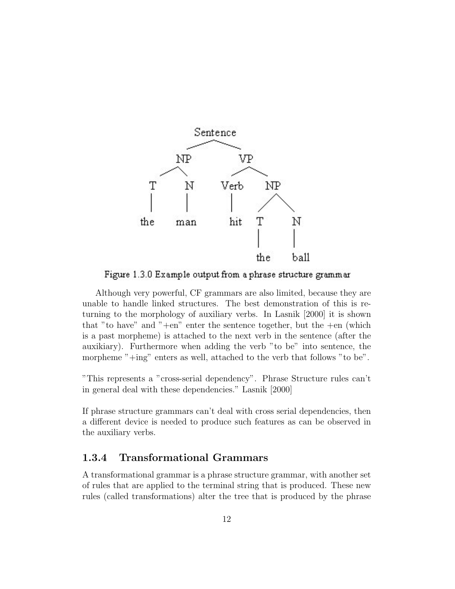

Figure 1.3.0 Example output from a phrase structure grammar

Although very powerful, CF grammars are also limited, because they are unable to handle linked structures. The best demonstration of this is returning to the morphology of auxiliary verbs. In Lasnik [2000] it is shown that "to have" and "+en" enter the sentence together, but the  $+e$ n (which is a past morpheme) is attached to the next verb in the sentence (after the auxikiary). Furthermore when adding the verb "to be" into sentence, the morpheme "+ing" enters as well, attached to the verb that follows "to be".

"This represents a "cross-serial dependency". Phrase Structure rules can't in general deal with these dependencies." Lasnik [2000]

If phrase structure grammars can't deal with cross serial dependencies, then a different device is needed to produce such features as can be observed in the auxiliary verbs.

### 1.3.4 Transformational Grammars

A transformational grammar is a phrase structure grammar, with another set of rules that are applied to the terminal string that is produced. These new rules (called transformations) alter the tree that is produced by the phrase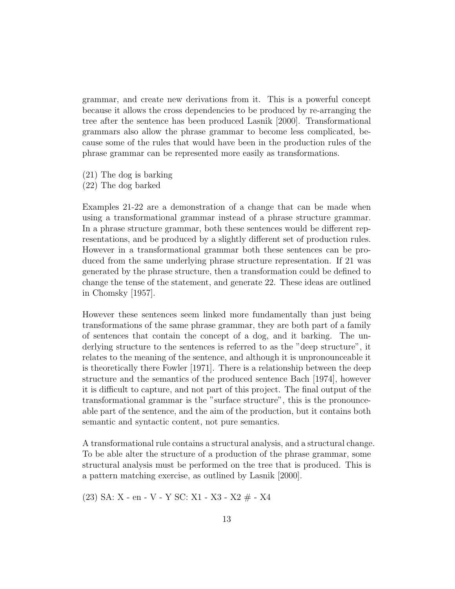grammar, and create new derivations from it. This is a powerful concept because it allows the cross dependencies to be produced by re-arranging the tree after the sentence has been produced Lasnik [2000]. Transformational grammars also allow the phrase grammar to become less complicated, because some of the rules that would have been in the production rules of the phrase grammar can be represented more easily as transformations.

- (21) The dog is barking
- (22) The dog barked

Examples 21-22 are a demonstration of a change that can be made when using a transformational grammar instead of a phrase structure grammar. In a phrase structure grammar, both these sentences would be different representations, and be produced by a slightly different set of production rules. However in a transformational grammar both these sentences can be produced from the same underlying phrase structure representation. If 21 was generated by the phrase structure, then a transformation could be defined to change the tense of the statement, and generate 22. These ideas are outlined in Chomsky [1957].

However these sentences seem linked more fundamentally than just being transformations of the same phrase grammar, they are both part of a family of sentences that contain the concept of a dog, and it barking. The underlying structure to the sentences is referred to as the "deep structure", it relates to the meaning of the sentence, and although it is unpronounceable it is theoretically there Fowler [1971]. There is a relationship between the deep structure and the semantics of the produced sentence Bach [1974], however it is difficult to capture, and not part of this project. The final output of the transformational grammar is the "surface structure", this is the pronounceable part of the sentence, and the aim of the production, but it contains both semantic and syntactic content, not pure semantics.

A transformational rule contains a structural analysis, and a structural change. To be able alter the structure of a production of the phrase grammar, some structural analysis must be performed on the tree that is produced. This is a pattern matching exercise, as outlined by Lasnik [2000].

(23) SA: X - en - V - Y SC: X1 - X3 - X2 # - X4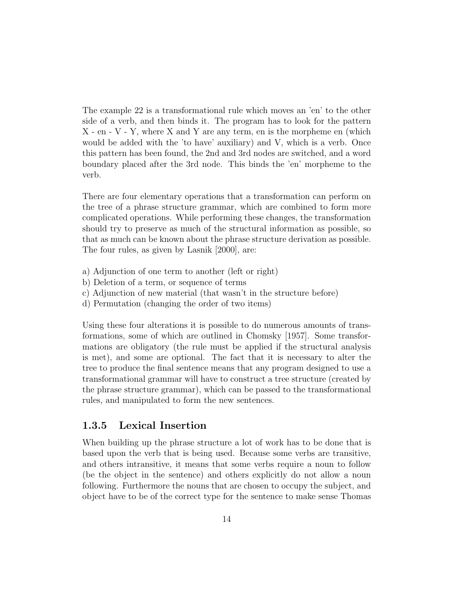The example 22 is a transformational rule which moves an 'en' to the other side of a verb, and then binds it. The program has to look for the pattern  $X - en - V - Y$ , where X and Y are any term, en is the morpheme en (which would be added with the 'to have' auxiliary) and V, which is a verb. Once this pattern has been found, the 2nd and 3rd nodes are switched, and a word boundary placed after the 3rd node. This binds the 'en' morpheme to the verb.

There are four elementary operations that a transformation can perform on the tree of a phrase structure grammar, which are combined to form more complicated operations. While performing these changes, the transformation should try to preserve as much of the structural information as possible, so that as much can be known about the phrase structure derivation as possible. The four rules, as given by Lasnik [2000], are:

- a) Adjunction of one term to another (left or right)
- b) Deletion of a term, or sequence of terms
- c) Adjunction of new material (that wasn't in the structure before)
- d) Permutation (changing the order of two items)

Using these four alterations it is possible to do numerous amounts of transformations, some of which are outlined in Chomsky [1957]. Some transformations are obligatory (the rule must be applied if the structural analysis is met), and some are optional. The fact that it is necessary to alter the tree to produce the final sentence means that any program designed to use a transformational grammar will have to construct a tree structure (created by the phrase structure grammar), which can be passed to the transformational rules, and manipulated to form the new sentences.

#### 1.3.5 Lexical Insertion

When building up the phrase structure a lot of work has to be done that is based upon the verb that is being used. Because some verbs are transitive, and others intransitive, it means that some verbs require a noun to follow (be the object in the sentence) and others explicitly do not allow a noun following. Furthermore the nouns that are chosen to occupy the subject, and object have to be of the correct type for the sentence to make sense Thomas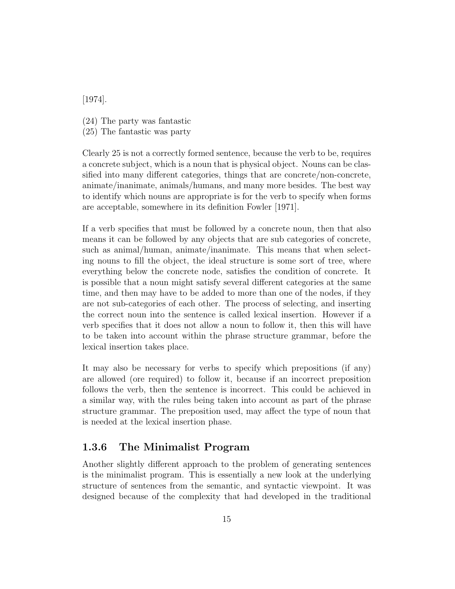[1974].

- (24) The party was fantastic
- (25) The fantastic was party

Clearly 25 is not a correctly formed sentence, because the verb to be, requires a concrete subject, which is a noun that is physical object. Nouns can be classified into many different categories, things that are concrete/non-concrete, animate/inanimate, animals/humans, and many more besides. The best way to identify which nouns are appropriate is for the verb to specify when forms are acceptable, somewhere in its definition Fowler [1971].

If a verb specifies that must be followed by a concrete noun, then that also means it can be followed by any objects that are sub categories of concrete, such as animal/human, animate/inanimate. This means that when selecting nouns to fill the object, the ideal structure is some sort of tree, where everything below the concrete node, satisfies the condition of concrete. It is possible that a noun might satisfy several different categories at the same time, and then may have to be added to more than one of the nodes, if they are not sub-categories of each other. The process of selecting, and inserting the correct noun into the sentence is called lexical insertion. However if a verb specifies that it does not allow a noun to follow it, then this will have to be taken into account within the phrase structure grammar, before the lexical insertion takes place.

It may also be necessary for verbs to specify which prepositions (if any) are allowed (ore required) to follow it, because if an incorrect preposition follows the verb, then the sentence is incorrect. This could be achieved in a similar way, with the rules being taken into account as part of the phrase structure grammar. The preposition used, may affect the type of noun that is needed at the lexical insertion phase.

### 1.3.6 The Minimalist Program

Another slightly different approach to the problem of generating sentences is the minimalist program. This is essentially a new look at the underlying structure of sentences from the semantic, and syntactic viewpoint. It was designed because of the complexity that had developed in the traditional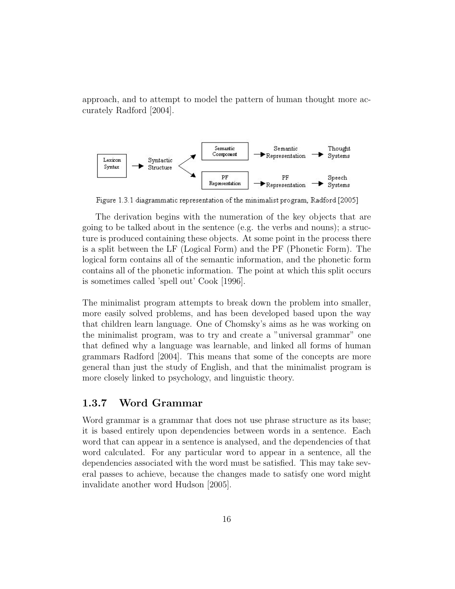approach, and to attempt to model the pattern of human thought more accurately Radford [2004].



Figure 1.3.1 diagrammatic representation of the minimalist program, Radford [2005]

The derivation begins with the numeration of the key objects that are going to be talked about in the sentence (e.g. the verbs and nouns); a structure is produced containing these objects. At some point in the process there is a split between the LF (Logical Form) and the PF (Phonetic Form). The logical form contains all of the semantic information, and the phonetic form contains all of the phonetic information. The point at which this split occurs is sometimes called 'spell out' Cook [1996].

The minimalist program attempts to break down the problem into smaller, more easily solved problems, and has been developed based upon the way that children learn language. One of Chomsky's aims as he was working on the minimalist program, was to try and create a "universal grammar" one that defined why a language was learnable, and linked all forms of human grammars Radford [2004]. This means that some of the concepts are more general than just the study of English, and that the minimalist program is more closely linked to psychology, and linguistic theory.

#### 1.3.7 Word Grammar

Word grammar is a grammar that does not use phrase structure as its base; it is based entirely upon dependencies between words in a sentence. Each word that can appear in a sentence is analysed, and the dependencies of that word calculated. For any particular word to appear in a sentence, all the dependencies associated with the word must be satisfied. This may take several passes to achieve, because the changes made to satisfy one word might invalidate another word Hudson [2005].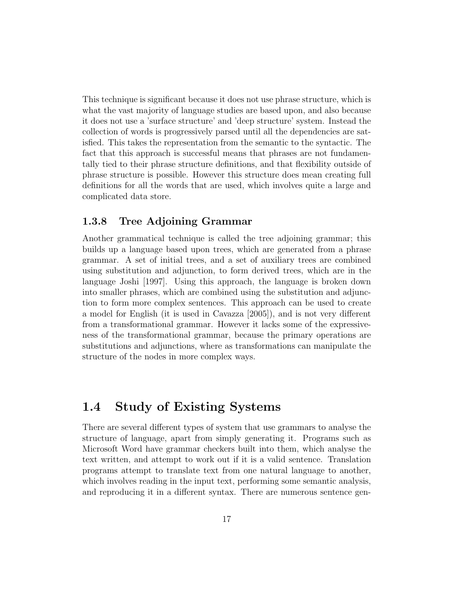This technique is significant because it does not use phrase structure, which is what the vast majority of language studies are based upon, and also because it does not use a 'surface structure' and 'deep structure' system. Instead the collection of words is progressively parsed until all the dependencies are satisfied. This takes the representation from the semantic to the syntactic. The fact that this approach is successful means that phrases are not fundamentally tied to their phrase structure definitions, and that flexibility outside of phrase structure is possible. However this structure does mean creating full definitions for all the words that are used, which involves quite a large and complicated data store.

#### 1.3.8 Tree Adjoining Grammar

Another grammatical technique is called the tree adjoining grammar; this builds up a language based upon trees, which are generated from a phrase grammar. A set of initial trees, and a set of auxiliary trees are combined using substitution and adjunction, to form derived trees, which are in the language Joshi [1997]. Using this approach, the language is broken down into smaller phrases, which are combined using the substitution and adjunction to form more complex sentences. This approach can be used to create a model for English (it is used in Cavazza [2005]), and is not very different from a transformational grammar. However it lacks some of the expressiveness of the transformational grammar, because the primary operations are substitutions and adjunctions, where as transformations can manipulate the structure of the nodes in more complex ways.

## 1.4 Study of Existing Systems

There are several different types of system that use grammars to analyse the structure of language, apart from simply generating it. Programs such as Microsoft Word have grammar checkers built into them, which analyse the text written, and attempt to work out if it is a valid sentence. Translation programs attempt to translate text from one natural language to another, which involves reading in the input text, performing some semantic analysis, and reproducing it in a different syntax. There are numerous sentence gen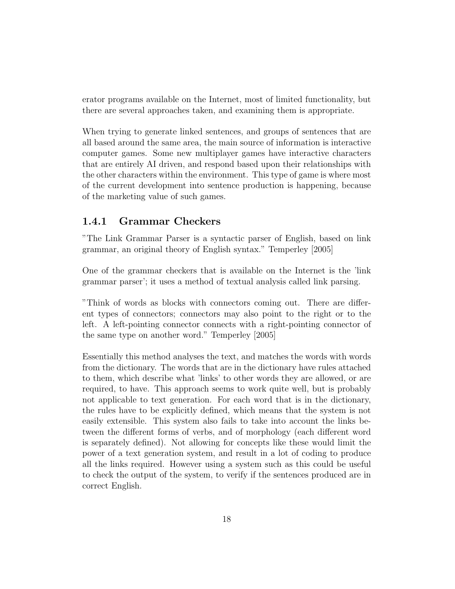erator programs available on the Internet, most of limited functionality, but there are several approaches taken, and examining them is appropriate.

When trying to generate linked sentences, and groups of sentences that are all based around the same area, the main source of information is interactive computer games. Some new multiplayer games have interactive characters that are entirely AI driven, and respond based upon their relationships with the other characters within the environment. This type of game is where most of the current development into sentence production is happening, because of the marketing value of such games.

#### 1.4.1 Grammar Checkers

"The Link Grammar Parser is a syntactic parser of English, based on link grammar, an original theory of English syntax." Temperley [2005]

One of the grammar checkers that is available on the Internet is the 'link grammar parser'; it uses a method of textual analysis called link parsing.

"Think of words as blocks with connectors coming out. There are different types of connectors; connectors may also point to the right or to the left. A left-pointing connector connects with a right-pointing connector of the same type on another word." Temperley [2005]

Essentially this method analyses the text, and matches the words with words from the dictionary. The words that are in the dictionary have rules attached to them, which describe what 'links' to other words they are allowed, or are required, to have. This approach seems to work quite well, but is probably not applicable to text generation. For each word that is in the dictionary, the rules have to be explicitly defined, which means that the system is not easily extensible. This system also fails to take into account the links between the different forms of verbs, and of morphology (each different word is separately defined). Not allowing for concepts like these would limit the power of a text generation system, and result in a lot of coding to produce all the links required. However using a system such as this could be useful to check the output of the system, to verify if the sentences produced are in correct English.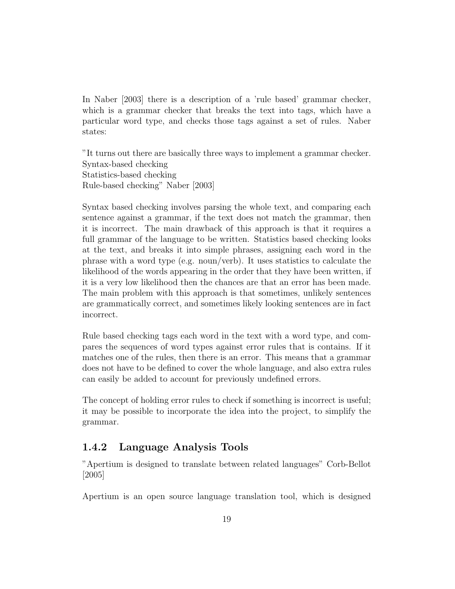In Naber [2003] there is a description of a 'rule based' grammar checker, which is a grammar checker that breaks the text into tags, which have a particular word type, and checks those tags against a set of rules. Naber states:

"It turns out there are basically three ways to implement a grammar checker. Syntax-based checking Statistics-based checking Rule-based checking" Naber [2003]

Syntax based checking involves parsing the whole text, and comparing each sentence against a grammar, if the text does not match the grammar, then it is incorrect. The main drawback of this approach is that it requires a full grammar of the language to be written. Statistics based checking looks at the text, and breaks it into simple phrases, assigning each word in the phrase with a word type (e.g. noun/verb). It uses statistics to calculate the likelihood of the words appearing in the order that they have been written, if it is a very low likelihood then the chances are that an error has been made. The main problem with this approach is that sometimes, unlikely sentences are grammatically correct, and sometimes likely looking sentences are in fact incorrect.

Rule based checking tags each word in the text with a word type, and compares the sequences of word types against error rules that is contains. If it matches one of the rules, then there is an error. This means that a grammar does not have to be defined to cover the whole language, and also extra rules can easily be added to account for previously undefined errors.

The concept of holding error rules to check if something is incorrect is useful; it may be possible to incorporate the idea into the project, to simplify the grammar.

### 1.4.2 Language Analysis Tools

"Apertium is designed to translate between related languages" Corb-Bellot [2005]

Apertium is an open source language translation tool, which is designed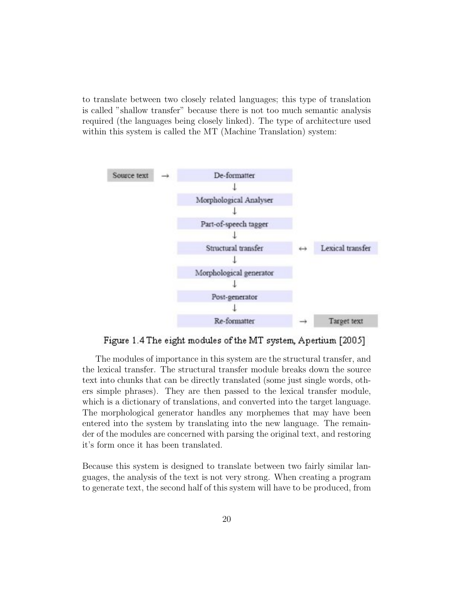to translate between two closely related languages; this type of translation is called "shallow transfer" because there is not too much semantic analysis required (the languages being closely linked). The type of architecture used within this system is called the MT (Machine Translation) system:



Figure 1.4 The eight modules of the MT system, Apertium [2005]

The modules of importance in this system are the structural transfer, and the lexical transfer. The structural transfer module breaks down the source text into chunks that can be directly translated (some just single words, others simple phrases). They are then passed to the lexical transfer module, which is a dictionary of translations, and converted into the target language. The morphological generator handles any morphemes that may have been entered into the system by translating into the new language. The remainder of the modules are concerned with parsing the original text, and restoring it's form once it has been translated.

Because this system is designed to translate between two fairly similar languages, the analysis of the text is not very strong. When creating a program to generate text, the second half of this system will have to be produced, from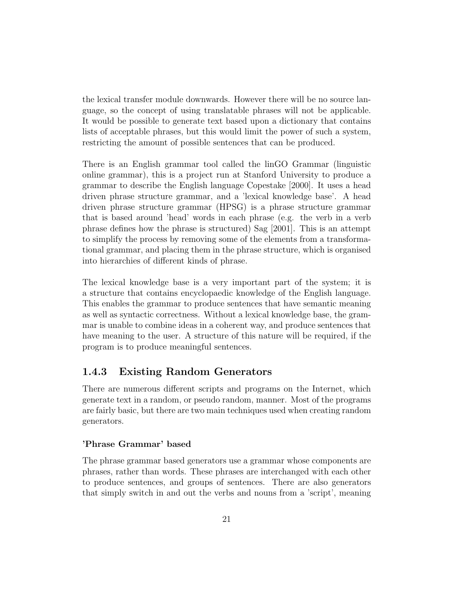the lexical transfer module downwards. However there will be no source language, so the concept of using translatable phrases will not be applicable. It would be possible to generate text based upon a dictionary that contains lists of acceptable phrases, but this would limit the power of such a system, restricting the amount of possible sentences that can be produced.

There is an English grammar tool called the linGO Grammar (linguistic online grammar), this is a project run at Stanford University to produce a grammar to describe the English language Copestake [2000]. It uses a head driven phrase structure grammar, and a 'lexical knowledge base'. A head driven phrase structure grammar (HPSG) is a phrase structure grammar that is based around 'head' words in each phrase (e.g. the verb in a verb phrase defines how the phrase is structured) Sag [2001]. This is an attempt to simplify the process by removing some of the elements from a transformational grammar, and placing them in the phrase structure, which is organised into hierarchies of different kinds of phrase.

The lexical knowledge base is a very important part of the system; it is a structure that contains encyclopaedic knowledge of the English language. This enables the grammar to produce sentences that have semantic meaning as well as syntactic correctness. Without a lexical knowledge base, the grammar is unable to combine ideas in a coherent way, and produce sentences that have meaning to the user. A structure of this nature will be required, if the program is to produce meaningful sentences.

### 1.4.3 Existing Random Generators

There are numerous different scripts and programs on the Internet, which generate text in a random, or pseudo random, manner. Most of the programs are fairly basic, but there are two main techniques used when creating random generators.

#### 'Phrase Grammar' based

The phrase grammar based generators use a grammar whose components are phrases, rather than words. These phrases are interchanged with each other to produce sentences, and groups of sentences. There are also generators that simply switch in and out the verbs and nouns from a 'script', meaning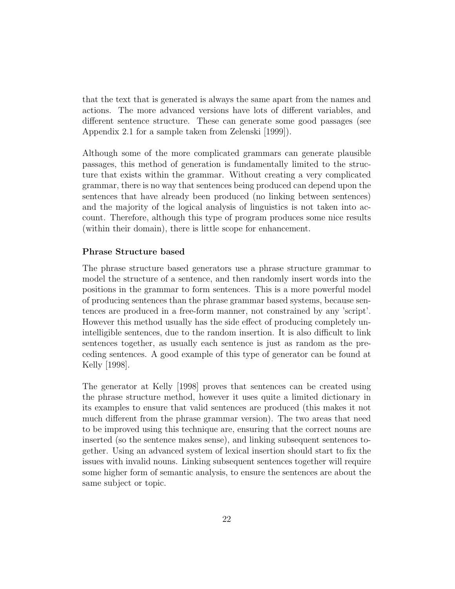that the text that is generated is always the same apart from the names and actions. The more advanced versions have lots of different variables, and different sentence structure. These can generate some good passages (see Appendix 2.1 for a sample taken from Zelenski [1999]).

Although some of the more complicated grammars can generate plausible passages, this method of generation is fundamentally limited to the structure that exists within the grammar. Without creating a very complicated grammar, there is no way that sentences being produced can depend upon the sentences that have already been produced (no linking between sentences) and the majority of the logical analysis of linguistics is not taken into account. Therefore, although this type of program produces some nice results (within their domain), there is little scope for enhancement.

#### Phrase Structure based

The phrase structure based generators use a phrase structure grammar to model the structure of a sentence, and then randomly insert words into the positions in the grammar to form sentences. This is a more powerful model of producing sentences than the phrase grammar based systems, because sentences are produced in a free-form manner, not constrained by any 'script'. However this method usually has the side effect of producing completely unintelligible sentences, due to the random insertion. It is also difficult to link sentences together, as usually each sentence is just as random as the preceding sentences. A good example of this type of generator can be found at Kelly [1998].

The generator at Kelly [1998] proves that sentences can be created using the phrase structure method, however it uses quite a limited dictionary in its examples to ensure that valid sentences are produced (this makes it not much different from the phrase grammar version). The two areas that need to be improved using this technique are, ensuring that the correct nouns are inserted (so the sentence makes sense), and linking subsequent sentences together. Using an advanced system of lexical insertion should start to fix the issues with invalid nouns. Linking subsequent sentences together will require some higher form of semantic analysis, to ensure the sentences are about the same subject or topic.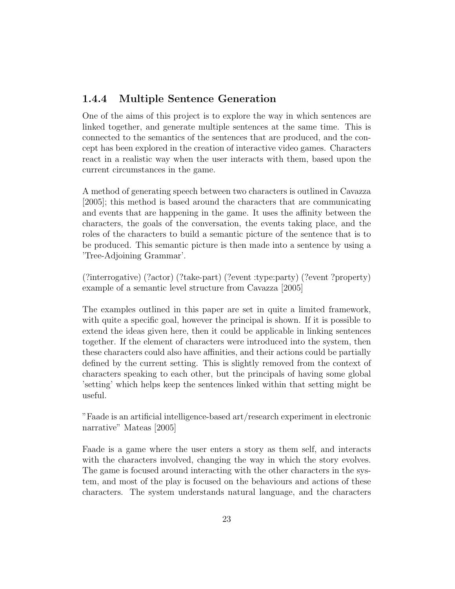### 1.4.4 Multiple Sentence Generation

One of the aims of this project is to explore the way in which sentences are linked together, and generate multiple sentences at the same time. This is connected to the semantics of the sentences that are produced, and the concept has been explored in the creation of interactive video games. Characters react in a realistic way when the user interacts with them, based upon the current circumstances in the game.

A method of generating speech between two characters is outlined in Cavazza [2005]; this method is based around the characters that are communicating and events that are happening in the game. It uses the affinity between the characters, the goals of the conversation, the events taking place, and the roles of the characters to build a semantic picture of the sentence that is to be produced. This semantic picture is then made into a sentence by using a 'Tree-Adjoining Grammar'.

(?interrogative) (?actor) (?take-part) (?event :type:party) (?event ?property) example of a semantic level structure from Cavazza [2005]

The examples outlined in this paper are set in quite a limited framework, with quite a specific goal, however the principal is shown. If it is possible to extend the ideas given here, then it could be applicable in linking sentences together. If the element of characters were introduced into the system, then these characters could also have affinities, and their actions could be partially defined by the current setting. This is slightly removed from the context of characters speaking to each other, but the principals of having some global 'setting' which helps keep the sentences linked within that setting might be useful.

"Faade is an artificial intelligence-based art/research experiment in electronic narrative" Mateas [2005]

Faade is a game where the user enters a story as them self, and interacts with the characters involved, changing the way in which the story evolves. The game is focused around interacting with the other characters in the system, and most of the play is focused on the behaviours and actions of these characters. The system understands natural language, and the characters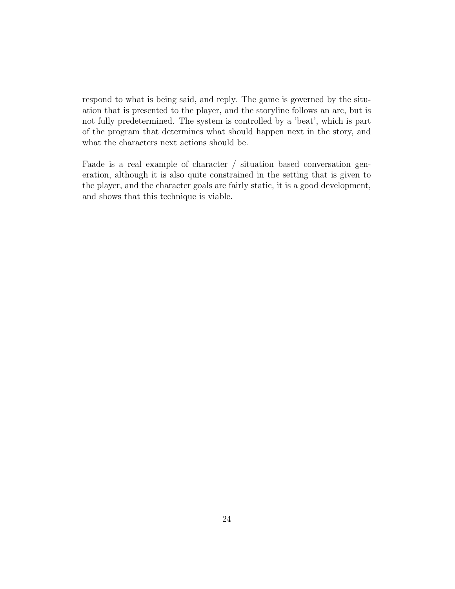respond to what is being said, and reply. The game is governed by the situation that is presented to the player, and the storyline follows an arc, but is not fully predetermined. The system is controlled by a 'beat', which is part of the program that determines what should happen next in the story, and what the characters next actions should be.

Faade is a real example of character / situation based conversation generation, although it is also quite constrained in the setting that is given to the player, and the character goals are fairly static, it is a good development, and shows that this technique is viable.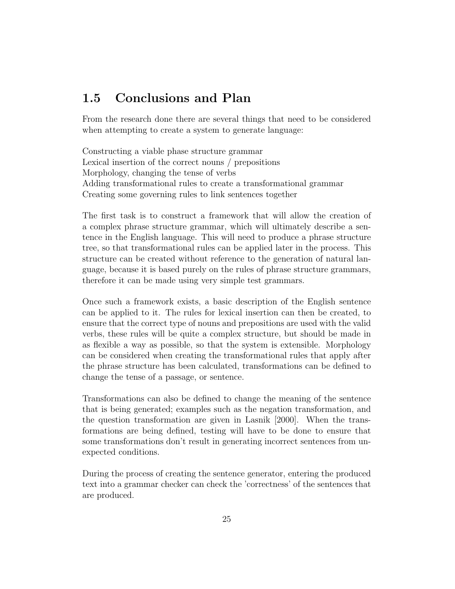## 1.5 Conclusions and Plan

From the research done there are several things that need to be considered when attempting to create a system to generate language:

Constructing a viable phase structure grammar Lexical insertion of the correct nouns / prepositions Morphology, changing the tense of verbs Adding transformational rules to create a transformational grammar Creating some governing rules to link sentences together

The first task is to construct a framework that will allow the creation of a complex phrase structure grammar, which will ultimately describe a sentence in the English language. This will need to produce a phrase structure tree, so that transformational rules can be applied later in the process. This structure can be created without reference to the generation of natural language, because it is based purely on the rules of phrase structure grammars, therefore it can be made using very simple test grammars.

Once such a framework exists, a basic description of the English sentence can be applied to it. The rules for lexical insertion can then be created, to ensure that the correct type of nouns and prepositions are used with the valid verbs, these rules will be quite a complex structure, but should be made in as flexible a way as possible, so that the system is extensible. Morphology can be considered when creating the transformational rules that apply after the phrase structure has been calculated, transformations can be defined to change the tense of a passage, or sentence.

Transformations can also be defined to change the meaning of the sentence that is being generated; examples such as the negation transformation, and the question transformation are given in Lasnik [2000]. When the transformations are being defined, testing will have to be done to ensure that some transformations don't result in generating incorrect sentences from unexpected conditions.

During the process of creating the sentence generator, entering the produced text into a grammar checker can check the 'correctness' of the sentences that are produced.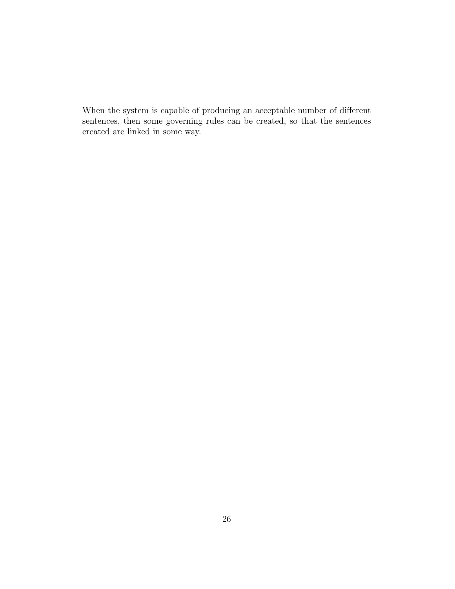When the system is capable of producing an acceptable number of different sentences, then some governing rules can be created, so that the sentences created are linked in some way.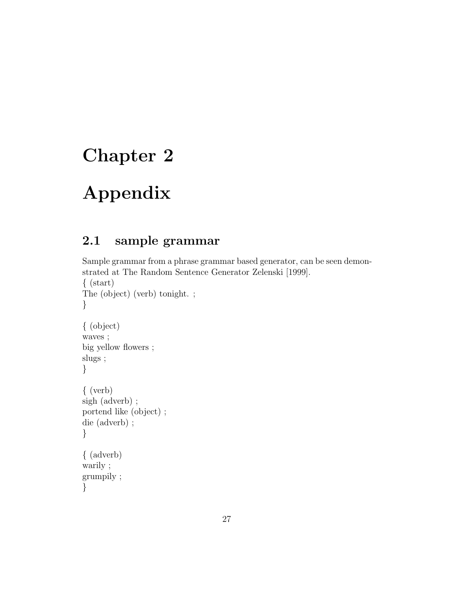# Chapter 2

# Appendix

}

## 2.1 sample grammar

```
Sample grammar from a phrase grammar based generator, can be seen demon-
strated at The Random Sentence Generator Zelenski [1999].
\{ (start)
The (object) (verb) tonight. ;
}
{ (object)
waves ;
big yellow flowers ;
slugs ;
}
{ (verb)
sigh (adverb) ;
portend like (object) ;
die (adverb) ;
}
{ (adverb)
warily ;
grumpily ;
```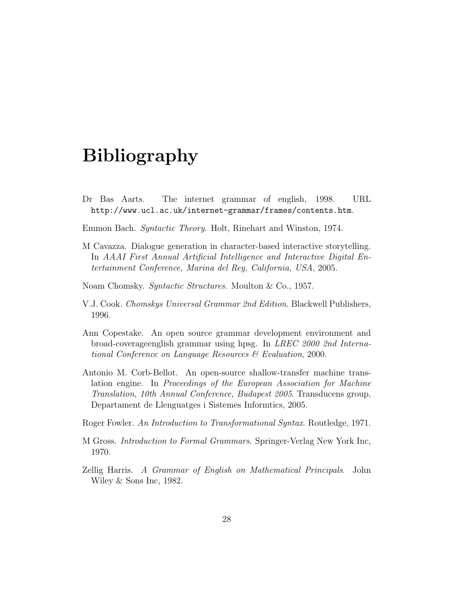## Bibliography

- Dr Bas Aarts. The internet grammar of english, 1998. URL http://www.ucl.ac.uk/internet-grammar/frames/contents.htm.
- Emmon Bach. Syntactic Theory. Holt, Rinehart and Winston, 1974.
- M Cavazza. Dialogue generation in character-based interactive storytelling. In AAAI First Annual Artificial Intelligence and Interactive Digital Entertainment Conference, Marina del Rey, California, USA, 2005.
- Noam Chomsky. Syntactic Structures. Moulton & Co., 1957.
- V.J. Cook. Chomskys Universal Grammar 2nd Edition. Blackwell Publishers, 1996.
- Ann Copestake. An open source grammar development environment and broad-coverageenglish grammar using hpsg. In LREC 2000 2nd International Conference on Language Resources & Evaluation, 2000.
- Antonio M. Corb-Bellot. An open-source shallow-transfer machine translation engine. In *Proceedings of the European Association for Machine* Translation, 10th Annual Conference, Budapest 2005. Transducens group, Departament de Llenguatges i Sistemes Informtics, 2005.
- Roger Fowler. An Introduction to Transformational Syntax. Routledge, 1971.
- M Gross. Introduction to Formal Grammars. Springer-Verlag New York Inc, 1970.
- Zellig Harris. A Grammar of English on Mathematical Principals. John Wiley & Sons Inc, 1982.